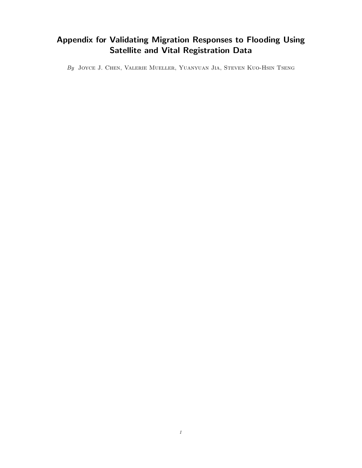## Appendix for Validating Migration Responses to Flooding Using Satellite and Vital Registration Data

By Joyce J. Chen, Valerie Mueller, Yuanyuan Jia, Steven Kuo-Hsin Tseng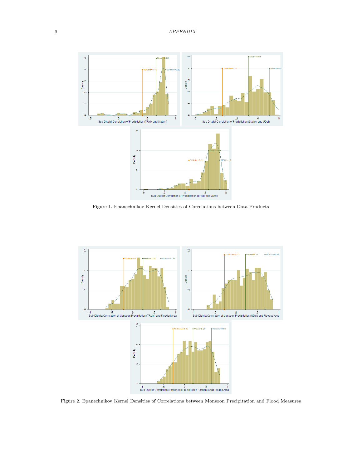

Figure 1. Epanechnikov Kernel Densities of Correlations between Data Products



Figure 2. Epanechnikov Kernel Densities of Correlations between Monsoon Precipitation and Flood Measures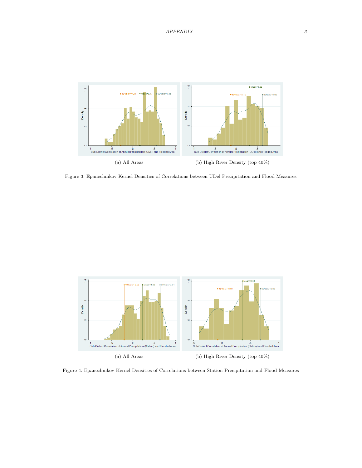

Figure 3. Epanechnikov Kernel Densities of Correlations between UDel Precipitation and Flood Measures



Figure 4. Epanechnikov Kernel Densities of Correlations between Station Precipitation and Flood Measures